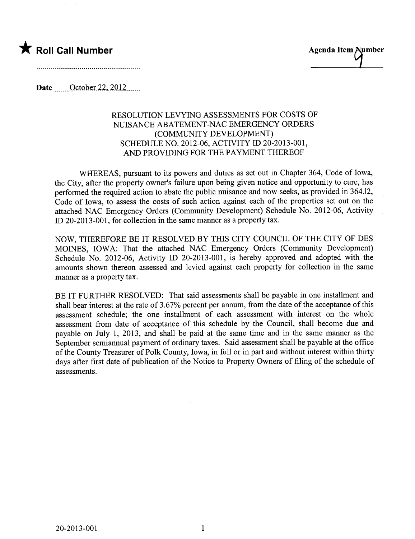



Date \_\_\_\_\_\_ October 22, 2012

## RESOLUTION LEVYING ASSESSMENTS FOR COSTS OF NUISANCE ABATEMENT-NAC EMERGENCY ORDERS (COMMUNITY DEVELOPMENT) SCHEDULE NO. 2012-06, ACTIVITY ID 20-2013-001, AND PROVIDING FOR THE PAYMENT THEREOF

WHEREAS, pursuant to its powers and duties as set out in Chapter 364, Code of Iowa, the City, after the property owner's failure upon being given notice and opportunity to cure, has performed the required action to abate the public nuisance and now seeks, as provided in 364.12, Code of Iowa, to assess the costs of such action against each of the properties set out on the attached NAC Emergency Orders (Community Development) Schedule No. 2012-06, Activity il 20-2013-001, for collection in the same manner as a property tax.

NOW, THEREFORE BE IT RESOLVED BY THIS CITY COUNCIL OF THE CITY OF DES MOINS, IOWA: That the attached NAC Emergency Orders (Community Development) Schedule No. 2012-06, Activity ID 20-2013-001, is hereby approved and adopted with the amounts shown thereon assessed and levied against each property for collection in the same manner as a property tax.

BE IT FURTHER RESOLVED: That said assessments shall be payable in one installment and shall bear interest at the rate of 3.67% percent per annum, from the date of the acceptance of this assessment schedule; the one installment of each assessment with interest on the whole assessment from date of acceptance of this schedule by the Council, shall become due and payable on July 1, 2013, and shall be paid at the same time and in the same manner as the September semianual payment of ordinary taxes. Said assessment shall be payable at the office of the County Treasurer of Polk County, Iowa, in full or in part and without interest within thirty days after first date of publication of the Notice to Property Owners of filing of the schedule of assessments.